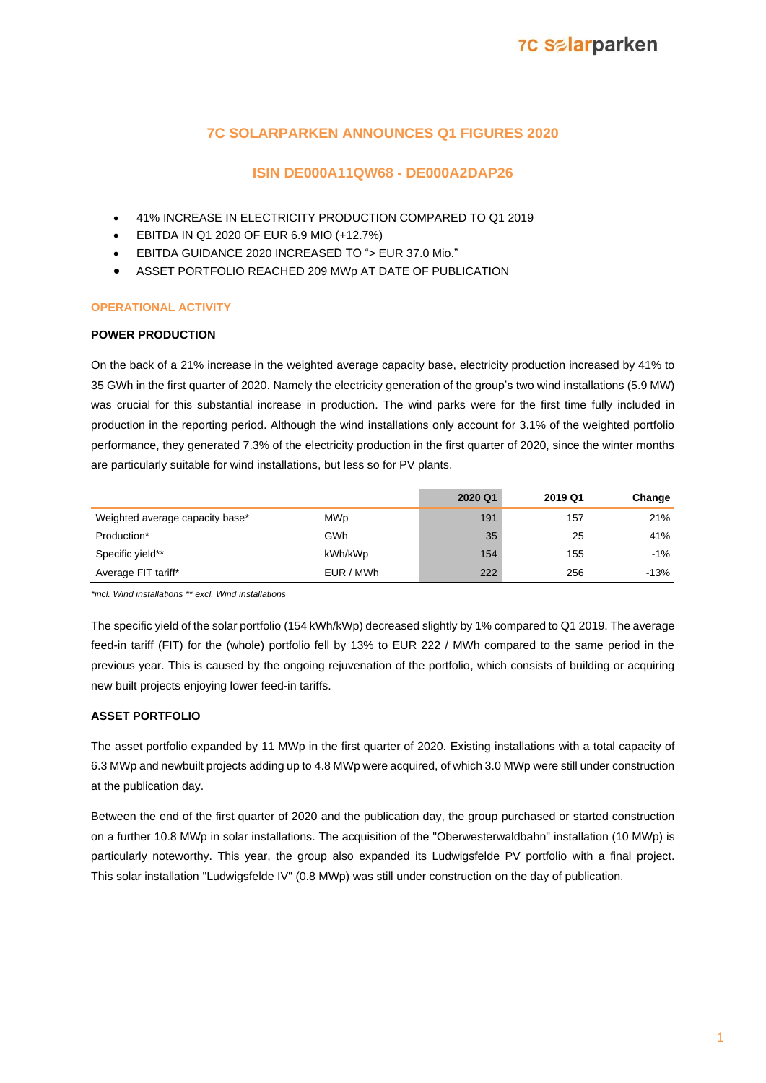### **7C SOLARPARKEN ANNOUNCES Q1 FIGURES 2020**

### **ISIN DE000A11QW68 - DE000A2DAP26**

- 41% INCREASE IN ELECTRICITY PRODUCTION COMPARED TO Q1 2019
- EBITDA IN Q1 2020 OF EUR 6.9 MIO (+12.7%)
- EBITDA GUIDANCE 2020 INCREASED TO "> EUR 37.0 Mio."
- ASSET PORTFOLIO REACHED 209 MWp AT DATE OF PUBLICATION

### **OPERATIONAL ACTIVITY**

### **POWER PRODUCTION**

On the back of a 21% increase in the weighted average capacity base, electricity production increased by 41% to 35 GWh in the first quarter of 2020. Namely the electricity generation of the group's two wind installations (5.9 MW) was crucial for this substantial increase in production. The wind parks were for the first time fully included in production in the reporting period. Although the wind installations only account for 3.1% of the weighted portfolio performance, they generated 7.3% of the electricity production in the first quarter of 2020, since the winter months are particularly suitable for wind installations, but less so for PV plants.

|                                 |            | 2020 Q1 | 2019 Q1 | Change |
|---------------------------------|------------|---------|---------|--------|
| Weighted average capacity base* | <b>MWp</b> | 191     | 157     | 21%    |
| Production*                     | GWh        | 35      | 25      | 41%    |
| Specific yield**                | kWh/kWp    | 154     | 155     | $-1%$  |
| Average FIT tariff*             | EUR / MWh  | 222     | 256     | $-13%$ |

*\*incl. Wind installations \*\* excl. Wind installations*

The specific yield of the solar portfolio (154 kWh/kWp) decreased slightly by 1% compared to Q1 2019. The average feed-in tariff (FIT) for the (whole) portfolio fell by 13% to EUR 222 / MWh compared to the same period in the previous year. This is caused by the ongoing rejuvenation of the portfolio, which consists of building or acquiring new built projects enjoying lower feed-in tariffs.

### **ASSET PORTFOLIO**

The asset portfolio expanded by 11 MWp in the first quarter of 2020. Existing installations with a total capacity of 6.3 MWp and newbuilt projects adding up to 4.8 MWp were acquired, of which 3.0 MWp were still under construction at the publication day.

Between the end of the first quarter of 2020 and the publication day, the group purchased or started construction on a further 10.8 MWp in solar installations. The acquisition of the "Oberwesterwaldbahn" installation (10 MWp) is particularly noteworthy. This year, the group also expanded its Ludwigsfelde PV portfolio with a final project. This solar installation "Ludwigsfelde IV" (0.8 MWp) was still under construction on the day of publication.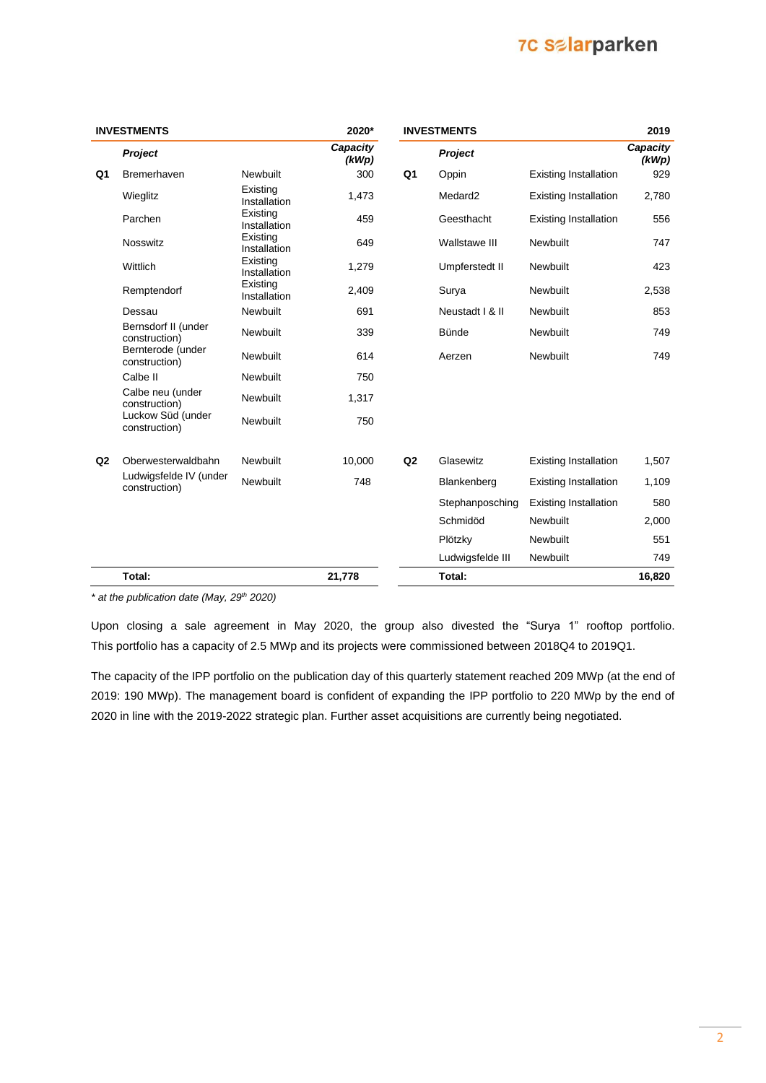## **7C Salarparken**

|    | <b>INVESTMENTS</b>                      |                          | 2020*             |                | <b>INVESTMENTS</b>  |                              | 2019              |
|----|-----------------------------------------|--------------------------|-------------------|----------------|---------------------|------------------------------|-------------------|
|    | Project                                 |                          | Capacity<br>(kWp) |                | Project             |                              | Capacity<br>(kWp) |
| Q1 | <b>Bremerhaven</b>                      | Newbuilt                 | 300               | Q <sub>1</sub> | Oppin               | <b>Existing Installation</b> | 929               |
|    | Wieglitz                                | Existing<br>Installation | 1,473             |                | Medard <sub>2</sub> | <b>Existing Installation</b> | 2,780             |
|    | Parchen                                 | Existing<br>Installation | 459               |                | Geesthacht          | <b>Existing Installation</b> | 556               |
|    | <b>Nosswitz</b>                         | Existing<br>Installation | 649               |                | Wallstawe III       | Newbuilt                     | 747               |
|    | Wittlich                                | Existing<br>Installation | 1,279             |                | Umpferstedt II      | Newbuilt                     | 423               |
|    | Remptendorf                             | Existing<br>Installation | 2,409             |                | Surya               | Newbuilt                     | 2,538             |
|    | Dessau                                  | Newbuilt                 | 691               |                | Neustadt   & II     | Newbuilt                     | 853               |
|    | Bernsdorf II (under<br>construction)    | Newbuilt                 | 339               |                | Bünde               | Newbuilt                     | 749               |
|    | Bernterode (under<br>construction)      | Newbuilt                 | 614               |                | Aerzen              | Newbuilt                     | 749               |
|    | Calbe II                                | Newbuilt                 | 750               |                |                     |                              |                   |
|    | Calbe neu (under<br>construction)       | Newbuilt                 | 1,317             |                |                     |                              |                   |
|    | Luckow Süd (under<br>construction)      | Newbuilt                 | 750               |                |                     |                              |                   |
| Q2 | Oberwesterwaldbahn                      | Newbuilt                 | 10,000            | Q <sub>2</sub> | Glasewitz           | <b>Existing Installation</b> | 1,507             |
|    | Ludwigsfelde IV (under<br>construction) | <b>Newbuilt</b>          | 748               |                | Blankenberg         | <b>Existing Installation</b> | 1,109             |
|    |                                         |                          |                   |                | Stephanposching     | <b>Existing Installation</b> | 580               |
|    |                                         |                          |                   |                | Schmidöd            | Newbuilt                     | 2,000             |
|    |                                         |                          |                   |                | Plötzky             | Newbuilt                     | 551               |
|    |                                         |                          |                   |                | Ludwigsfelde III    | Newbuilt                     | 749               |
|    | Total:                                  |                          | 21,778            |                | Total:              |                              | 16,820            |

*\* at the publication date (May, 29th 2020)*

Upon closing a sale agreement in May 2020, the group also divested the "Surya 1" rooftop portfolio. This portfolio has a capacity of 2.5 MWp and its projects were commissioned between 2018Q4 to 2019Q1.

The capacity of the IPP portfolio on the publication day of this quarterly statement reached 209 MWp (at the end of 2019: 190 MWp). The management board is confident of expanding the IPP portfolio to 220 MWp by the end of 2020 in line with the 2019-2022 strategic plan. Further asset acquisitions are currently being negotiated.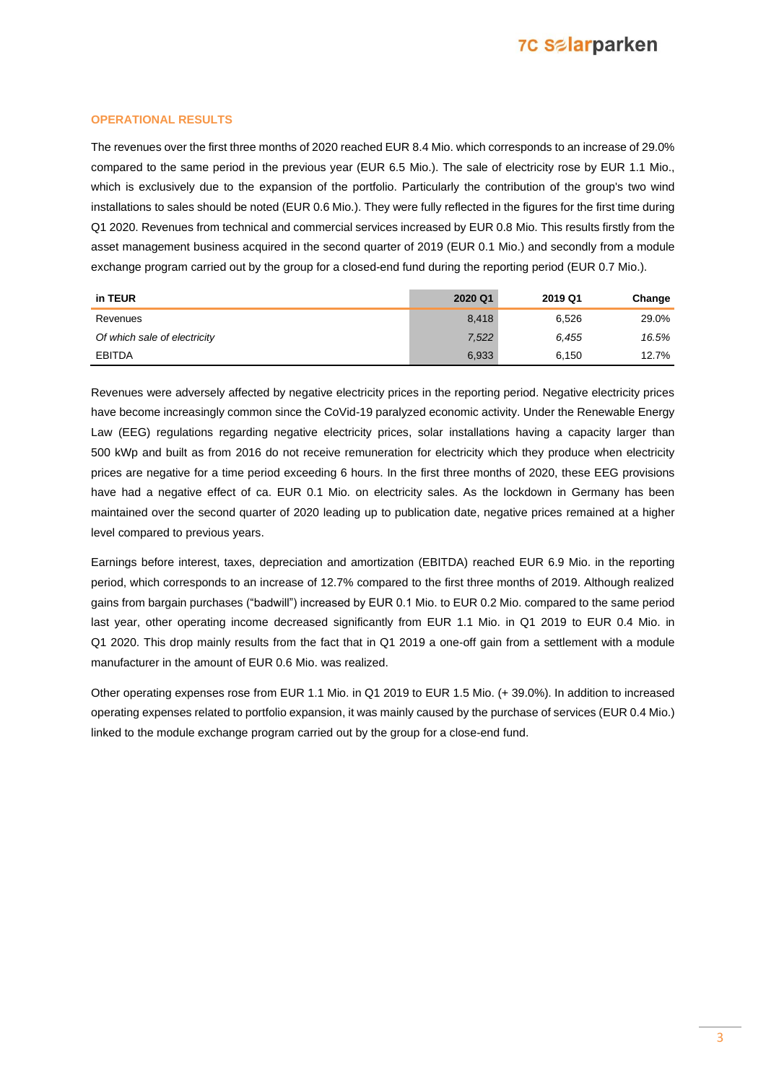## **7C Salarparken**

### **OPERATIONAL RESULTS**

The revenues over the first three months of 2020 reached EUR 8.4 Mio. which corresponds to an increase of 29.0% compared to the same period in the previous year (EUR 6.5 Mio.). The sale of electricity rose by EUR 1.1 Mio., which is exclusively due to the expansion of the portfolio. Particularly the contribution of the group's two wind installations to sales should be noted (EUR 0.6 Mio.). They were fully reflected in the figures for the first time during Q1 2020. Revenues from technical and commercial services increased by EUR 0.8 Mio. This results firstly from the asset management business acquired in the second quarter of 2019 (EUR 0.1 Mio.) and secondly from a module exchange program carried out by the group for a closed-end fund during the reporting period (EUR 0.7 Mio.).

| in TEUR                      | 2020 Q1 | 2019 Q1 | Change |
|------------------------------|---------|---------|--------|
| Revenues                     | 8.418   | 6.526   | 29.0%  |
| Of which sale of electricity | 7,522   | 6.455   | 16.5%  |
| <b>EBITDA</b>                | 6,933   | 6.150   | 12.7%  |

Revenues were adversely affected by negative electricity prices in the reporting period. Negative electricity prices have become increasingly common since the CoVid-19 paralyzed economic activity. Under the Renewable Energy Law (EEG) regulations regarding negative electricity prices, solar installations having a capacity larger than 500 kWp and built as from 2016 do not receive remuneration for electricity which they produce when electricity prices are negative for a time period exceeding 6 hours. In the first three months of 2020, these EEG provisions have had a negative effect of ca. EUR 0.1 Mio. on electricity sales. As the lockdown in Germany has been maintained over the second quarter of 2020 leading up to publication date, negative prices remained at a higher level compared to previous years.

Earnings before interest, taxes, depreciation and amortization (EBITDA) reached EUR 6.9 Mio. in the reporting period, which corresponds to an increase of 12.7% compared to the first three months of 2019. Although realized gains from bargain purchases ("badwill") increased by EUR 0.1 Mio. to EUR 0.2 Mio. compared to the same period last year, other operating income decreased significantly from EUR 1.1 Mio. in Q1 2019 to EUR 0.4 Mio. in Q1 2020. This drop mainly results from the fact that in Q1 2019 a one-off gain from a settlement with a module manufacturer in the amount of EUR 0.6 Mio. was realized.

Other operating expenses rose from EUR 1.1 Mio. in Q1 2019 to EUR 1.5 Mio. (+ 39.0%). In addition to increased operating expenses related to portfolio expansion, it was mainly caused by the purchase of services (EUR 0.4 Mio.) linked to the module exchange program carried out by the group for a close-end fund.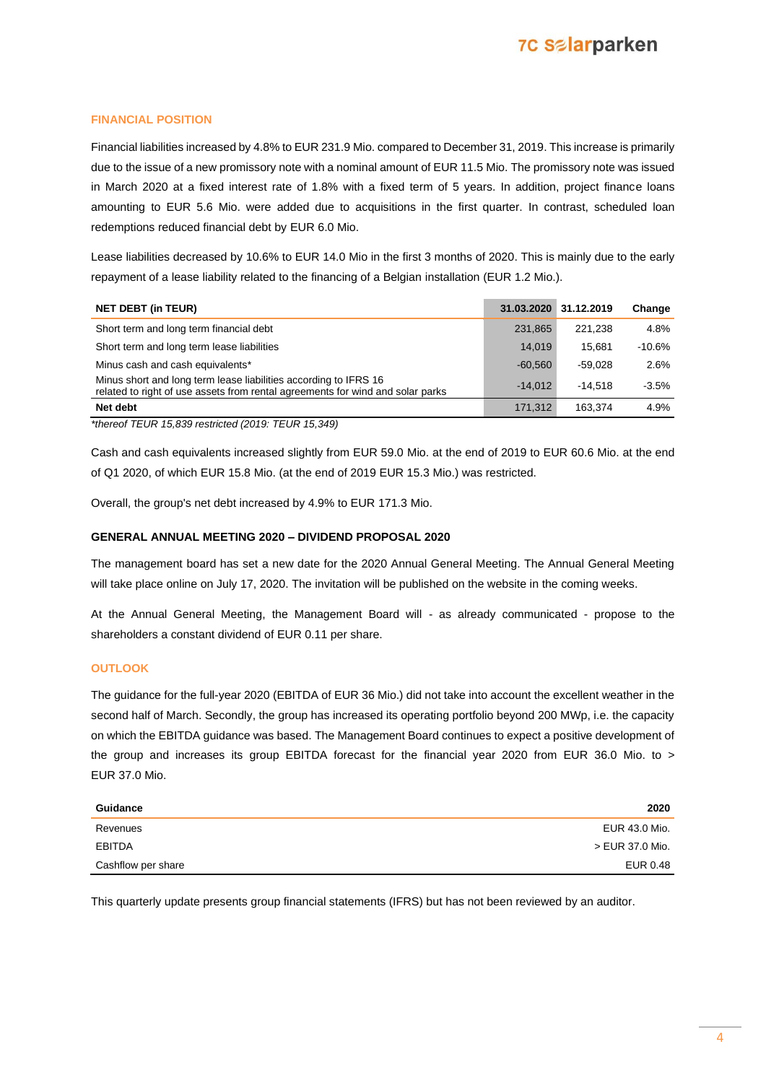### **FINANCIAL POSITION**

Financial liabilities increased by 4.8% to EUR 231.9 Mio. compared to December 31, 2019. This increase is primarily due to the issue of a new promissory note with a nominal amount of EUR 11.5 Mio. The promissory note was issued in March 2020 at a fixed interest rate of 1.8% with a fixed term of 5 years. In addition, project finance loans amounting to EUR 5.6 Mio. were added due to acquisitions in the first quarter. In contrast, scheduled loan redemptions reduced financial debt by EUR 6.0 Mio.

Lease liabilities decreased by 10.6% to EUR 14.0 Mio in the first 3 months of 2020. This is mainly due to the early repayment of a lease liability related to the financing of a Belgian installation (EUR 1.2 Mio.).

| <b>NET DEBT (in TEUR)</b>                                                                                                                          | 31.03.2020 | 31.12.2019 | Change   |
|----------------------------------------------------------------------------------------------------------------------------------------------------|------------|------------|----------|
| Short term and long term financial debt                                                                                                            | 231.865    | 221.238    | 4.8%     |
| Short term and long term lease liabilities                                                                                                         | 14.019     | 15.681     | $-10.6%$ |
| Minus cash and cash equivalents*                                                                                                                   | $-60.560$  | $-59.028$  | 2.6%     |
| Minus short and long term lease liabilities according to IFRS 16<br>related to right of use assets from rental agreements for wind and solar parks | $-14.012$  | $-14.518$  | $-3.5%$  |
| Net debt                                                                                                                                           | 171.312    | 163.374    | 4.9%     |

*\*thereof TEUR 15,839 restricted (2019: TEUR 15,349)*

Cash and cash equivalents increased slightly from EUR 59.0 Mio. at the end of 2019 to EUR 60.6 Mio. at the end of Q1 2020, of which EUR 15.8 Mio. (at the end of 2019 EUR 15.3 Mio.) was restricted.

Overall, the group's net debt increased by 4.9% to EUR 171.3 Mio.

### **GENERAL ANNUAL MEETING 2020 – DIVIDEND PROPOSAL 2020**

The management board has set a new date for the 2020 Annual General Meeting. The Annual General Meeting will take place online on July 17, 2020. The invitation will be published on the website in the coming weeks.

At the Annual General Meeting, the Management Board will - as already communicated - propose to the shareholders a constant dividend of EUR 0.11 per share.

### **OUTLOOK**

The guidance for the full-year 2020 (EBITDA of EUR 36 Mio.) did not take into account the excellent weather in the second half of March. Secondly, the group has increased its operating portfolio beyond 200 MWp, i.e. the capacity on which the EBITDA guidance was based. The Management Board continues to expect a positive development of the group and increases its group EBITDA forecast for the financial year 2020 from EUR 36.0 Mio. to > EUR 37.0 Mio.

| Guidance           | 2020            |
|--------------------|-----------------|
| Revenues           | EUR 43.0 Mio.   |
| EBITDA             | > EUR 37.0 Mio. |
| Cashflow per share | EUR 0.48        |

This quarterly update presents group financial statements (IFRS) but has not been reviewed by an auditor.